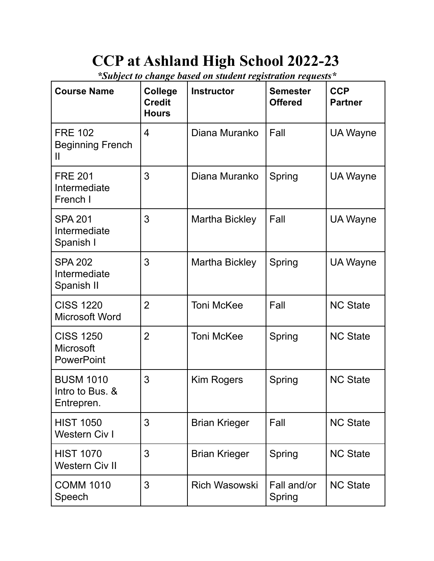## **CCP at Ashland High School 2022-23**

*\*Subject to change based on student registration requests\**

| <b>Course Name</b>                                        | <b>College</b><br><b>Credit</b><br><b>Hours</b> | <b>Instructor</b>    | <b>Semester</b><br><b>Offered</b> | <b>CCP</b><br><b>Partner</b> |
|-----------------------------------------------------------|-------------------------------------------------|----------------------|-----------------------------------|------------------------------|
| <b>FRE 102</b><br><b>Beginning French</b><br>Ш            | $\overline{4}$                                  | Diana Muranko        | Fall                              | UA Wayne                     |
| <b>FRE 201</b><br>Intermediate<br>French I                | 3                                               | Diana Muranko        | Spring                            | UA Wayne                     |
| <b>SPA 201</b><br>Intermediate<br>Spanish I               | 3                                               | Martha Bickley       | Fall                              | UA Wayne                     |
| <b>SPA 202</b><br>Intermediate<br>Spanish II              | 3                                               | Martha Bickley       | Spring                            | <b>UA Wayne</b>              |
| <b>CISS 1220</b><br><b>Microsoft Word</b>                 | $\overline{2}$                                  | <b>Toni McKee</b>    | Fall                              | <b>NC State</b>              |
| <b>CISS 1250</b><br><b>Microsoft</b><br><b>PowerPoint</b> | $\overline{2}$                                  | <b>Toni McKee</b>    | Spring                            | <b>NC State</b>              |
| <b>BUSM 1010</b><br>Intro to Bus. &<br>Entrepren.         | 3                                               | Kim Rogers           | Spring                            | <b>NC State</b>              |
| <b>HIST 1050</b><br>Western Civ I                         | 3                                               | <b>Brian Krieger</b> | Fall                              | <b>NC State</b>              |
| <b>HIST 1070</b><br><b>Western Civ II</b>                 | 3                                               | <b>Brian Krieger</b> | Spring                            | <b>NC State</b>              |
| <b>COMM 1010</b><br>Speech                                | 3                                               | <b>Rich Wasowski</b> | Fall and/or<br>Spring             | <b>NC State</b>              |